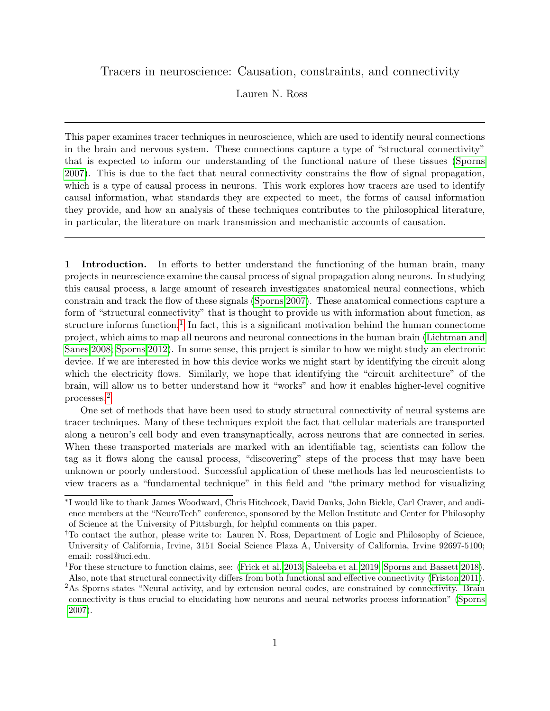<span id="page-0-0"></span>Tracers in neuroscience: Causation, constraints, and connectivity

Lauren N. Ross

This paper examines tracer techniques in neuroscience, which are used to identify neural connections in the brain and nervous system. These connections capture a type of "structural connectivity" that is expected to inform our understanding of the functional nature of these tissues [\(Sporns](#page-17-0) [2007\)](#page-17-0). This is due to the fact that neural connectivity constrains the flow of signal propagation, which is a type of causal process in neurons. This work explores how tracers are used to identify causal information, what standards they are expected to meet, the forms of causal information they provide, and how an analysis of these techniques contributes to the philosophical literature, in particular, the literature on mark transmission and mechanistic accounts of causation.

1 Introduction. In efforts to better understand the functioning of the human brain, many projects in neuroscience examine the causal process of signal propagation along neurons. In studying this causal process, a large amount of research investigates anatomical neural connections, which constrain and track the flow of these signals [\(Sporns 2007\)](#page-17-0). These anatomical connections capture a form of "structural connectivity" that is thought to provide us with information about function, as structure informs function.<sup>1</sup> In fact, this is a significant motivation behind the human connectome project, which aims to map all neurons and neuronal connections in the human brain [\(Lichtman and](#page-16-0) [Sanes 2008;](#page-16-0) [Sporns 2012\)](#page-17-1). In some sense, this project is similar to how we might study an electronic device. If we are interested in how this device works we might start by identifying the circuit along which the electricity flows. Similarly, we hope that identifying the "circuit architecture" of the brain, will allow us to better understand how it "works" and how it enables higher-level cognitive processes.<sup>2</sup>

One set of methods that have been used to study structural connectivity of neural systems are tracer techniques. Many of these techniques exploit the fact that cellular materials are transported along a neuron's cell body and even transynaptically, across neurons that are connected in series. When these transported materials are marked with an identifiable tag, scientists can follow the tag as it flows along the causal process, "discovering" steps of the process that may have been unknown or poorly understood. Successful application of these methods has led neuroscientists to view tracers as a "fundamental technique" in this field and "the primary method for visualizing

<sup>∗</sup> I would like to thank James Woodward, Chris Hitchcock, David Danks, John Bickle, Carl Craver, and audience members at the "NeuroTech" conference, sponsored by the Mellon Institute and Center for Philosophy of Science at the University of Pittsburgh, for helpful comments on this paper.

<sup>†</sup>To contact the author, please write to: Lauren N. Ross, Department of Logic and Philosophy of Science, University of California, Irvine, 3151 Social Science Plaza A, University of California, Irvine 92697-5100; email: rossl@uci.edu.

<sup>1</sup>For these structure to function claims, see: [\(Frick et al. 2013;](#page-15-0) [Saleeba et al. 2019;](#page-17-2) [Sporns and Bassett 2018\)](#page-17-3). Also, note that structural connectivity differs from both functional and effective connectivity [\(Friston 2011\)](#page-15-1).

<sup>2</sup>As Sporns states "Neural activity, and by extension neural codes, are constrained by connectivity. Brain connectivity is thus crucial to elucidating how neurons and neural networks process information" [\(Sporns](#page-17-0) [2007\)](#page-17-0).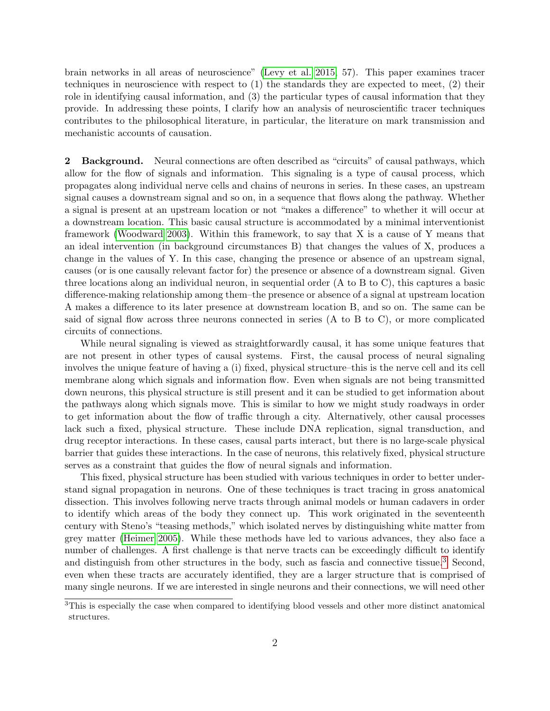brain networks in all areas of neuroscience" [\(Levy et al. 2015,](#page-16-1) 57). This paper examines tracer techniques in neuroscience with respect to (1) the standards they are expected to meet, (2) their role in identifying causal information, and (3) the particular types of causal information that they provide. In addressing these points, I clarify how an analysis of neuroscientific tracer techniques contributes to the philosophical literature, in particular, the literature on mark transmission and mechanistic accounts of causation.

2 Background. Neural connections are often described as "circuits" of causal pathways, which allow for the flow of signals and information. This signaling is a type of causal process, which propagates along individual nerve cells and chains of neurons in series. In these cases, an upstream signal causes a downstream signal and so on, in a sequence that flows along the pathway. Whether a signal is present at an upstream location or not "makes a difference" to whether it will occur at a downstream location. This basic causal structure is accommodated by a minimal interventionist framework [\(Woodward 2003\)](#page-17-4). Within this framework, to say that X is a cause of Y means that an ideal intervention (in background circumstances B) that changes the values of X, produces a change in the values of Y. In this case, changing the presence or absence of an upstream signal, causes (or is one causally relevant factor for) the presence or absence of a downstream signal. Given three locations along an individual neuron, in sequential order (A to B to C), this captures a basic difference-making relationship among them–the presence or absence of a signal at upstream location A makes a difference to its later presence at downstream location B, and so on. The same can be said of signal flow across three neurons connected in series (A to B to C), or more complicated circuits of connections.

While neural signaling is viewed as straightforwardly causal, it has some unique features that are not present in other types of causal systems. First, the causal process of neural signaling involves the unique feature of having a (i) fixed, physical structure–this is the nerve cell and its cell membrane along which signals and information flow. Even when signals are not being transmitted down neurons, this physical structure is still present and it can be studied to get information about the pathways along which signals move. This is similar to how we might study roadways in order to get information about the flow of traffic through a city. Alternatively, other causal processes lack such a fixed, physical structure. These include DNA replication, signal transduction, and drug receptor interactions. In these cases, causal parts interact, but there is no large-scale physical barrier that guides these interactions. In the case of neurons, this relatively fixed, physical structure serves as a constraint that guides the flow of neural signals and information.

This fixed, physical structure has been studied with various techniques in order to better understand signal propagation in neurons. One of these techniques is tract tracing in gross anatomical dissection. This involves following nerve tracts through animal models or human cadavers in order to identify which areas of the body they connect up. This work originated in the seventeenth century with Steno's "teasing methods," which isolated nerves by distinguishing white matter from grey matter [\(Heimer 2005\)](#page-15-2). While these methods have led to various advances, they also face a number of challenges. A first challenge is that nerve tracts can be exceedingly difficult to identify and distinguish from other structures in the body, such as fascia and connective tissue.<sup>[3](#page-0-0)</sup> Second, even when these tracts are accurately identified, they are a larger structure that is comprised of many single neurons. If we are interested in single neurons and their connections, we will need other

<sup>3</sup>This is especially the case when compared to identifying blood vessels and other more distinct anatomical structures.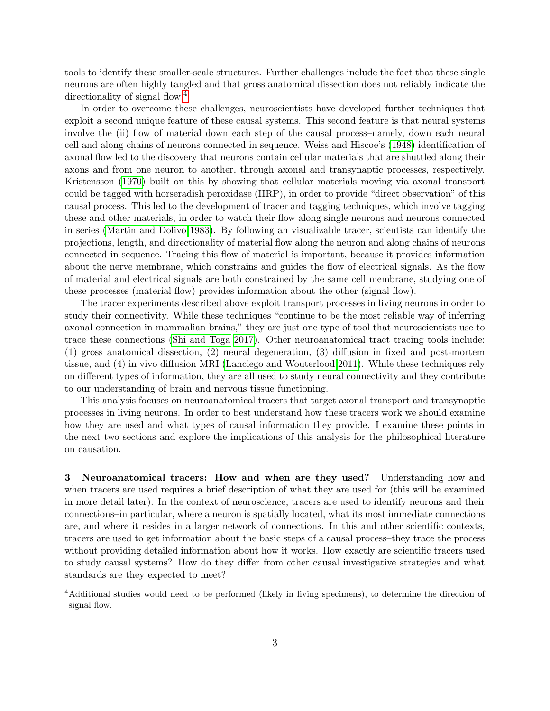tools to identify these smaller-scale structures. Further challenges include the fact that these single neurons are often highly tangled and that gross anatomical dissection does not reliably indicate the directionality of signal flow.<sup>[4](#page-0-0)</sup>

In order to overcome these challenges, neuroscientists have developed further techniques that exploit a second unique feature of these causal systems. This second feature is that neural systems involve the (ii) flow of material down each step of the causal process–namely, down each neural cell and along chains of neurons connected in sequence. Weiss and Hiscoe's [\(1948\)](#page-17-5) identification of axonal flow led to the discovery that neurons contain cellular materials that are shuttled along their axons and from one neuron to another, through axonal and transynaptic processes, respectively. Kristensson [\(1970\)](#page-16-2) built on this by showing that cellular materials moving via axonal transport could be tagged with horseradish peroxidase (HRP), in order to provide "direct observation" of this causal process. This led to the development of tracer and tagging techniques, which involve tagging these and other materials, in order to watch their flow along single neurons and neurons connected in series [\(Martin and Dolivo 1983\)](#page-16-3). By following an visualizable tracer, scientists can identify the projections, length, and directionality of material flow along the neuron and along chains of neurons connected in sequence. Tracing this flow of material is important, because it provides information about the nerve membrane, which constrains and guides the flow of electrical signals. As the flow of material and electrical signals are both constrained by the same cell membrane, studying one of these processes (material flow) provides information about the other (signal flow).

The tracer experiments described above exploit transport processes in living neurons in order to study their connectivity. While these techniques "continue to be the most reliable way of inferring axonal connection in mammalian brains," they are just one type of tool that neuroscientists use to trace these connections [\(Shi and Toga 2017\)](#page-17-6). Other neuroanatomical tract tracing tools include: (1) gross anatomical dissection, (2) neural degeneration, (3) diffusion in fixed and post-mortem tissue, and (4) in vivo diffusion MRI [\(Lanciego and Wouterlood 2011\)](#page-16-4). While these techniques rely on different types of information, they are all used to study neural connectivity and they contribute to our understanding of brain and nervous tissue functioning.

This analysis focuses on neuroanatomical tracers that target axonal transport and transynaptic processes in living neurons. In order to best understand how these tracers work we should examine how they are used and what types of causal information they provide. I examine these points in the next two sections and explore the implications of this analysis for the philosophical literature on causation.

3 Neuroanatomical tracers: How and when are they used? Understanding how and when tracers are used requires a brief description of what they are used for (this will be examined in more detail later). In the context of neuroscience, tracers are used to identify neurons and their connections–in particular, where a neuron is spatially located, what its most immediate connections are, and where it resides in a larger network of connections. In this and other scientific contexts, tracers are used to get information about the basic steps of a causal process–they trace the process without providing detailed information about how it works. How exactly are scientific tracers used to study causal systems? How do they differ from other causal investigative strategies and what standards are they expected to meet?

<sup>4</sup>Additional studies would need to be performed (likely in living specimens), to determine the direction of signal flow.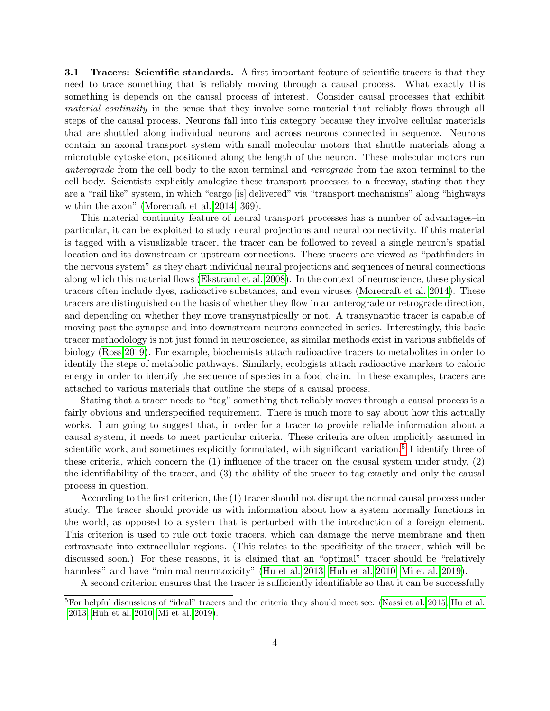**3.1 Tracers: Scientific standards.** A first important feature of scientific tracers is that they need to trace something that is reliably moving through a causal process. What exactly this something is depends on the causal process of interest. Consider causal processes that exhibit material continuity in the sense that they involve some material that reliably flows through all steps of the causal process. Neurons fall into this category because they involve cellular materials that are shuttled along individual neurons and across neurons connected in sequence. Neurons contain an axonal transport system with small molecular motors that shuttle materials along a microtuble cytoskeleton, positioned along the length of the neuron. These molecular motors run anterograde from the cell body to the axon terminal and retrograde from the axon terminal to the cell body. Scientists explicitly analogize these transport processes to a freeway, stating that they are a "rail like" system, in which "cargo [is] delivered" via "transport mechanisms" along "highways within the axon" [\(Morecraft et al. 2014,](#page-16-5) 369).

This material continuity feature of neural transport processes has a number of advantages–in particular, it can be exploited to study neural projections and neural connectivity. If this material is tagged with a visualizable tracer, the tracer can be followed to reveal a single neuron's spatial location and its downstream or upstream connections. These tracers are viewed as "pathfinders in the nervous system" as they chart individual neural projections and sequences of neural connections along which this material flows [\(Ekstrand et al. 2008\)](#page-15-3). In the context of neuroscience, these physical tracers often include dyes, radioactive substances, and even viruses [\(Morecraft et al. 2014\)](#page-16-5). These tracers are distinguished on the basis of whether they flow in an anterograde or retrograde direction, and depending on whether they move transynatpically or not. A transynaptic tracer is capable of moving past the synapse and into downstream neurons connected in series. Interestingly, this basic tracer methodology is not just found in neuroscience, as similar methods exist in various subfields of biology [\(Ross 2019\)](#page-17-7). For example, biochemists attach radioactive tracers to metabolites in order to identify the steps of metabolic pathways. Similarly, ecologists attach radioactive markers to caloric energy in order to identify the sequence of species in a food chain. In these examples, tracers are attached to various materials that outline the steps of a causal process.

Stating that a tracer needs to "tag" something that reliably moves through a causal process is a fairly obvious and underspecified requirement. There is much more to say about how this actually works. I am going to suggest that, in order for a tracer to provide reliable information about a causal system, it needs to meet particular criteria. These criteria are often implicitly assumed in scientific work, and sometimes explicitly formulated, with significant variation.<sup>[5](#page-0-0)</sup> I identify three of these criteria, which concern the (1) influence of the tracer on the causal system under study, (2) the identifiability of the tracer, and (3) the ability of the tracer to tag exactly and only the causal process in question.

According to the first criterion, the (1) tracer should not disrupt the normal causal process under study. The tracer should provide us with information about how a system normally functions in the world, as opposed to a system that is perturbed with the introduction of a foreign element. This criterion is used to rule out toxic tracers, which can damage the nerve membrane and then extravasate into extracellular regions. (This relates to the specificity of the tracer, which will be discussed soon.) For these reasons, it is claimed that an "optimal" tracer should be "relatively harmless" and have "minimal neurotoxicity" [\(Hu et al. 2013;](#page-16-6) [Huh et al. 2010;](#page-16-7) [Mi et al. 2019\)](#page-16-8).

A second criterion ensures that the tracer is sufficiently identifiable so that it can be successfully

<sup>&</sup>lt;sup>5</sup>For helpful discussions of "ideal" tracers and the criteria they should meet see: [\(Nassi et al. 2015;](#page-16-9) [Hu et al.](#page-16-6) [2013;](#page-16-6) [Huh et al. 2010;](#page-16-7) [Mi et al. 2019\)](#page-16-8).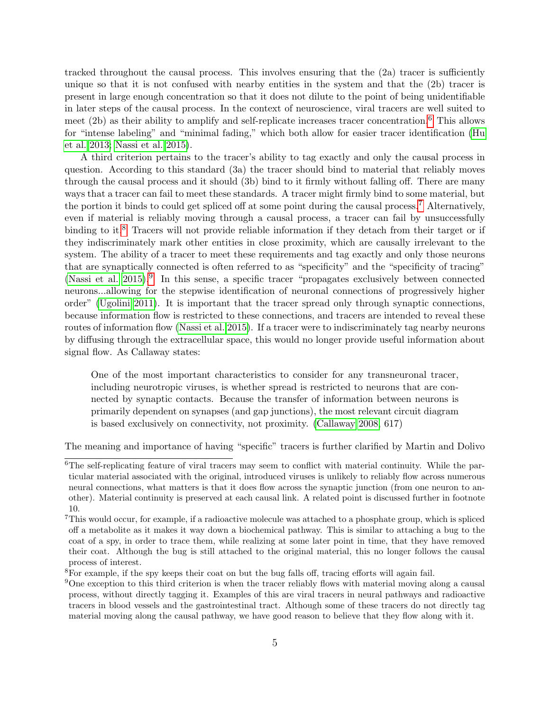tracked throughout the causal process. This involves ensuring that the  $(2a)$  tracer is sufficiently unique so that it is not confused with nearby entities in the system and that the (2b) tracer is present in large enough concentration so that it does not dilute to the point of being unidentifiable in later steps of the causal process. In the context of neuroscience, viral tracers are well suited to meet (2b) as their ability to amplify and self-replicate increases tracer concentration.[6](#page-0-0) This allows for "intense labeling" and "minimal fading," which both allow for easier tracer identification [\(Hu](#page-16-6) [et al. 2013;](#page-16-6) [Nassi et al. 2015\)](#page-16-9).

A third criterion pertains to the tracer's ability to tag exactly and only the causal process in question. According to this standard (3a) the tracer should bind to material that reliably moves through the causal process and it should (3b) bind to it firmly without falling off. There are many ways that a tracer can fail to meet these standards. A tracer might firmly bind to some material, but the portion it binds to could get spliced off at some point during the causal process.[7](#page-0-0) Alternatively, even if material is reliably moving through a causal process, a tracer can fail by unsuccessfully binding to it.<sup>[8](#page-0-0)</sup> Tracers will not provide reliable information if they detach from their target or if they indiscriminately mark other entities in close proximity, which are causally irrelevant to the system. The ability of a tracer to meet these requirements and tag exactly and only those neurons that are synaptically connected is often referred to as "specificity" and the "specificity of tracing" [\(Nassi et al. 2015\)](#page-16-9).<sup>[9](#page-0-0)</sup> In this sense, a specific tracer "propagates exclusively between connected neurons...allowing for the stepwise identification of neuronal connections of progressively higher order" [\(Ugolini 2011\)](#page-17-8). It is important that the tracer spread only through synaptic connections, because information flow is restricted to these connections, and tracers are intended to reveal these routes of information flow [\(Nassi et al. 2015\)](#page-16-9). If a tracer were to indiscriminately tag nearby neurons by diffusing through the extracellular space, this would no longer provide useful information about signal flow. As Callaway states:

One of the most important characteristics to consider for any transneuronal tracer, including neurotropic viruses, is whether spread is restricted to neurons that are connected by synaptic contacts. Because the transfer of information between neurons is primarily dependent on synapses (and gap junctions), the most relevant circuit diagram is based exclusively on connectivity, not proximity. [\(Callaway 2008,](#page-15-4) 617)

The meaning and importance of having "specific" tracers is further clarified by Martin and Dolivo

 $6$ The self-replicating feature of viral tracers may seem to conflict with material continuity. While the particular material associated with the original, introduced viruses is unlikely to reliably flow across numerous neural connections, what matters is that it does flow across the synaptic junction (from one neuron to another). Material continuity is preserved at each causal link. A related point is discussed further in footnote 10.

<sup>7</sup>This would occur, for example, if a radioactive molecule was attached to a phosphate group, which is spliced off a metabolite as it makes it way down a biochemical pathway. This is similar to attaching a bug to the coat of a spy, in order to trace them, while realizing at some later point in time, that they have removed their coat. Although the bug is still attached to the original material, this no longer follows the causal process of interest.

<sup>8</sup>For example, if the spy keeps their coat on but the bug falls off, tracing efforts will again fail.

<sup>9</sup>One exception to this third criterion is when the tracer reliably flows with material moving along a causal process, without directly tagging it. Examples of this are viral tracers in neural pathways and radioactive tracers in blood vessels and the gastrointestinal tract. Although some of these tracers do not directly tag material moving along the causal pathway, we have good reason to believe that they flow along with it.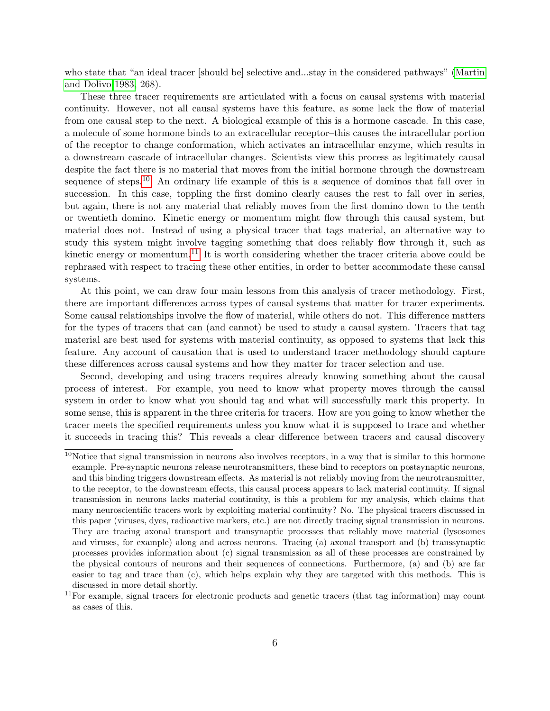who state that "an ideal tracer [should be] selective and...stay in the considered pathways" [\(Martin](#page-16-3) [and Dolivo 1983,](#page-16-3) 268).

These three tracer requirements are articulated with a focus on causal systems with material continuity. However, not all causal systems have this feature, as some lack the flow of material from one causal step to the next. A biological example of this is a hormone cascade. In this case, a molecule of some hormone binds to an extracellular receptor–this causes the intracellular portion of the receptor to change conformation, which activates an intracellular enzyme, which results in a downstream cascade of intracellular changes. Scientists view this process as legitimately causal despite the fact there is no material that moves from the initial hormone through the downstream sequence of steps.<sup>[10](#page-0-0)</sup> An ordinary life example of this is a sequence of dominos that fall over in succession. In this case, toppling the first domino clearly causes the rest to fall over in series, but again, there is not any material that reliably moves from the first domino down to the tenth or twentieth domino. Kinetic energy or momentum might flow through this causal system, but material does not. Instead of using a physical tracer that tags material, an alternative way to study this system might involve tagging something that does reliably flow through it, such as kinetic energy or momentum.<sup>[11](#page-0-0)</sup> It is worth considering whether the tracer criteria above could be rephrased with respect to tracing these other entities, in order to better accommodate these causal systems.

At this point, we can draw four main lessons from this analysis of tracer methodology. First, there are important differences across types of causal systems that matter for tracer experiments. Some causal relationships involve the flow of material, while others do not. This difference matters for the types of tracers that can (and cannot) be used to study a causal system. Tracers that tag material are best used for systems with material continuity, as opposed to systems that lack this feature. Any account of causation that is used to understand tracer methodology should capture these differences across causal systems and how they matter for tracer selection and use.

Second, developing and using tracers requires already knowing something about the causal process of interest. For example, you need to know what property moves through the causal system in order to know what you should tag and what will successfully mark this property. In some sense, this is apparent in the three criteria for tracers. How are you going to know whether the tracer meets the specified requirements unless you know what it is supposed to trace and whether it succeeds in tracing this? This reveals a clear difference between tracers and causal discovery

<sup>10</sup>Notice that signal transmission in neurons also involves receptors, in a way that is similar to this hormone example. Pre-synaptic neurons release neurotransmitters, these bind to receptors on postsynaptic neurons, and this binding triggers downstream effects. As material is not reliably moving from the neurotransmitter, to the receptor, to the downstream effects, this causal process appears to lack material continuity. If signal transmission in neurons lacks material continuity, is this a problem for my analysis, which claims that many neuroscientific tracers work by exploiting material continuity? No. The physical tracers discussed in this paper (viruses, dyes, radioactive markers, etc.) are not directly tracing signal transmission in neurons. They are tracing axonal transport and transynaptic processes that reliably move material (lysosomes and viruses, for example) along and across neurons. Tracing (a) axonal transport and (b) transsynaptic processes provides information about (c) signal transmission as all of these processes are constrained by the physical contours of neurons and their sequences of connections. Furthermore, (a) and (b) are far easier to tag and trace than (c), which helps explain why they are targeted with this methods. This is discussed in more detail shortly.

 $11$ For example, signal tracers for electronic products and genetic tracers (that tag information) may count as cases of this.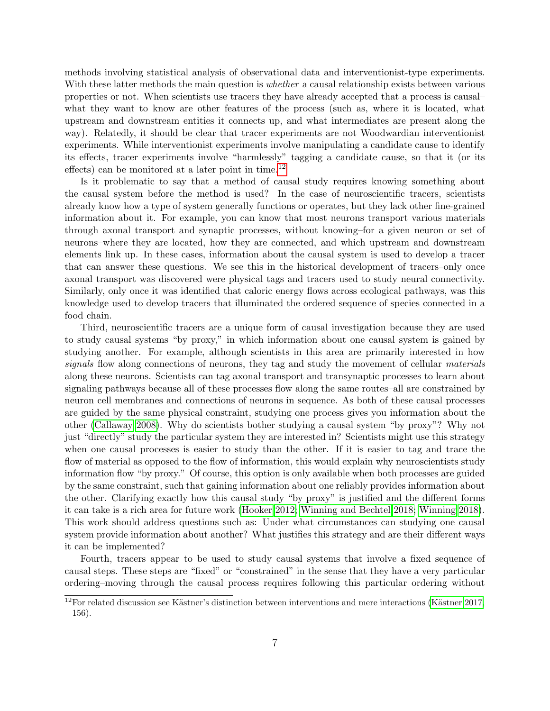methods involving statistical analysis of observational data and interventionist-type experiments. With these latter methods the main question is *whether* a causal relationship exists between various properties or not. When scientists use tracers they have already accepted that a process is causal– what they want to know are other features of the process (such as, where it is located, what upstream and downstream entities it connects up, and what intermediates are present along the way). Relatedly, it should be clear that tracer experiments are not Woodwardian interventionist experiments. While interventionist experiments involve manipulating a candidate cause to identify its effects, tracer experiments involve "harmlessly" tagging a candidate cause, so that it (or its effects) can be monitored at a later point in time.<sup>[12](#page-0-0)</sup>

Is it problematic to say that a method of causal study requires knowing something about the causal system before the method is used? In the case of neuroscientific tracers, scientists already know how a type of system generally functions or operates, but they lack other fine-grained information about it. For example, you can know that most neurons transport various materials through axonal transport and synaptic processes, without knowing–for a given neuron or set of neurons–where they are located, how they are connected, and which upstream and downstream elements link up. In these cases, information about the causal system is used to develop a tracer that can answer these questions. We see this in the historical development of tracers–only once axonal transport was discovered were physical tags and tracers used to study neural connectivity. Similarly, only once it was identified that caloric energy flows across ecological pathways, was this knowledge used to develop tracers that illuminated the ordered sequence of species connected in a food chain.

Third, neuroscientific tracers are a unique form of causal investigation because they are used to study causal systems "by proxy," in which information about one causal system is gained by studying another. For example, although scientists in this area are primarily interested in how signals flow along connections of neurons, they tag and study the movement of cellular materials along these neurons. Scientists can tag axonal transport and transynaptic processes to learn about signaling pathways because all of these processes flow along the same routes–all are constrained by neuron cell membranes and connections of neurons in sequence. As both of these causal processes are guided by the same physical constraint, studying one process gives you information about the other [\(Callaway 2008\)](#page-15-4). Why do scientists bother studying a causal system "by proxy"? Why not just "directly" study the particular system they are interested in? Scientists might use this strategy when one causal processes is easier to study than the other. If it is easier to tag and trace the flow of material as opposed to the flow of information, this would explain why neuroscientists study information flow "by proxy." Of course, this option is only available when both processes are guided by the same constraint, such that gaining information about one reliably provides information about the other. Clarifying exactly how this causal study "by proxy" is justified and the different forms it can take is a rich area for future work [\(Hooker 2012;](#page-15-5) [Winning and Bechtel 2018;](#page-17-9) [Winning 2018\)](#page-17-10). This work should address questions such as: Under what circumstances can studying one causal system provide information about another? What justifies this strategy and are their different ways it can be implemented?

Fourth, tracers appear to be used to study causal systems that involve a fixed sequence of causal steps. These steps are "fixed" or "constrained" in the sense that they have a very particular ordering–moving through the causal process requires following this particular ordering without

 $12$ For related discussion see Kästner's distinction between interventions and mere interactions (Kästner 2017, 156).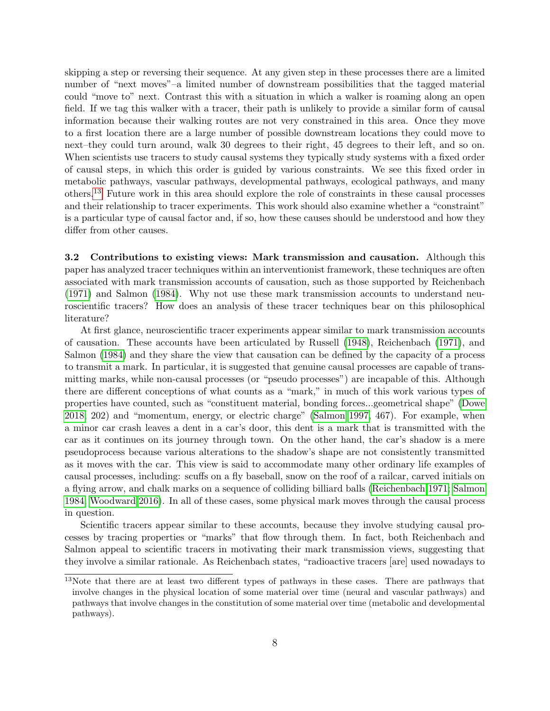skipping a step or reversing their sequence. At any given step in these processes there are a limited number of "next moves"–a limited number of downstream possibilities that the tagged material could "move to" next. Contrast this with a situation in which a walker is roaming along an open field. If we tag this walker with a tracer, their path is unlikely to provide a similar form of causal information because their walking routes are not very constrained in this area. Once they move to a first location there are a large number of possible downstream locations they could move to next–they could turn around, walk 30 degrees to their right, 45 degrees to their left, and so on. When scientists use tracers to study causal systems they typically study systems with a fixed order of causal steps, in which this order is guided by various constraints. We see this fixed order in metabolic pathways, vascular pathways, developmental pathways, ecological pathways, and many others.[13](#page-0-0) Future work in this area should explore the role of constraints in these causal processes and their relationship to tracer experiments. This work should also examine whether a "constraint" is a particular type of causal factor and, if so, how these causes should be understood and how they differ from other causes.

3.2 Contributions to existing views: Mark transmission and causation. Although this paper has analyzed tracer techniques within an interventionist framework, these techniques are often associated with mark transmission accounts of causation, such as those supported by Reichenbach [\(1971\)](#page-17-11) and Salmon [\(1984\)](#page-17-12). Why not use these mark transmission accounts to understand neuroscientific tracers? How does an analysis of these tracer techniques bear on this philosophical literature?

At first glance, neuroscientific tracer experiments appear similar to mark transmission accounts of causation. These accounts have been articulated by Russell [\(1948\)](#page-17-13), Reichenbach [\(1971\)](#page-17-11), and Salmon [\(1984\)](#page-17-12) and they share the view that causation can be defined by the capacity of a process to transmit a mark. In particular, it is suggested that genuine causal processes are capable of transmitting marks, while non-causal processes (or "pseudo processes") are incapable of this. Although there are different conceptions of what counts as a "mark," in much of this work various types of properties have counted, such as "constituent material, bonding forces...geometrical shape" [\(Dowe](#page-15-6) [2018,](#page-15-6) 202) and "momentum, energy, or electric charge" [\(Salmon 1997,](#page-17-14) 467). For example, when a minor car crash leaves a dent in a car's door, this dent is a mark that is transmitted with the car as it continues on its journey through town. On the other hand, the car's shadow is a mere pseudoprocess because various alterations to the shadow's shape are not consistently transmitted as it moves with the car. This view is said to accommodate many other ordinary life examples of causal processes, including: scuffs on a fly baseball, snow on the roof of a railcar, carved initials on a flying arrow, and chalk marks on a sequence of colliding billiard balls [\(Reichenbach 1971;](#page-17-11) [Salmon](#page-17-12) [1984;](#page-17-12) [Woodward 2016\)](#page-17-15). In all of these cases, some physical mark moves through the causal process in question.

Scientific tracers appear similar to these accounts, because they involve studying causal processes by tracing properties or "marks" that flow through them. In fact, both Reichenbach and Salmon appeal to scientific tracers in motivating their mark transmission views, suggesting that they involve a similar rationale. As Reichenbach states, "radioactive tracers [are] used nowadays to

<sup>&</sup>lt;sup>13</sup>Note that there are at least two different types of pathways in these cases. There are pathways that involve changes in the physical location of some material over time (neural and vascular pathways) and pathways that involve changes in the constitution of some material over time (metabolic and developmental pathways).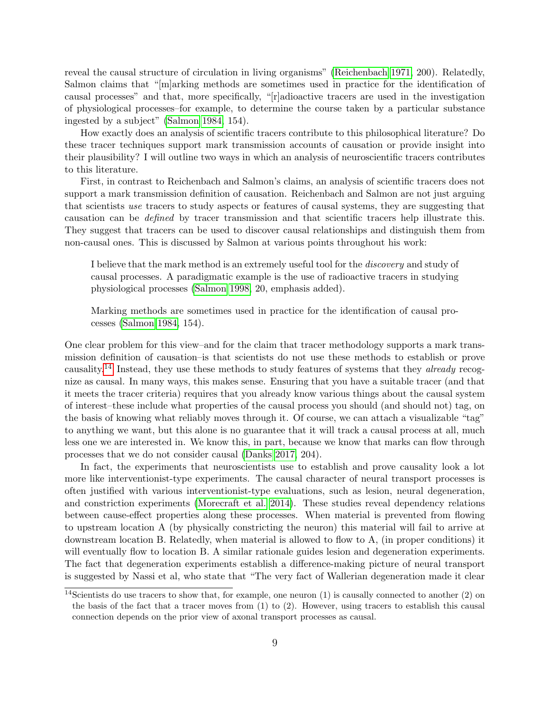reveal the causal structure of circulation in living organisms" [\(Reichenbach 1971,](#page-17-11) 200). Relatedly, Salmon claims that "[m]arking methods are sometimes used in practice for the identification of causal processes" and that, more specifically, "[r]adioactive tracers are used in the investigation of physiological processes–for example, to determine the course taken by a particular substance ingested by a subject" [\(Salmon 1984,](#page-17-12) 154).

How exactly does an analysis of scientific tracers contribute to this philosophical literature? Do these tracer techniques support mark transmission accounts of causation or provide insight into their plausibility? I will outline two ways in which an analysis of neuroscientific tracers contributes to this literature.

First, in contrast to Reichenbach and Salmon's claims, an analysis of scientific tracers does not support a mark transmission definition of causation. Reichenbach and Salmon are not just arguing that scientists use tracers to study aspects or features of causal systems, they are suggesting that causation can be defined by tracer transmission and that scientific tracers help illustrate this. They suggest that tracers can be used to discover causal relationships and distinguish them from non-causal ones. This is discussed by Salmon at various points throughout his work:

I believe that the mark method is an extremely useful tool for the discovery and study of causal processes. A paradigmatic example is the use of radioactive tracers in studying physiological processes [\(Salmon 1998,](#page-17-16) 20, emphasis added).

Marking methods are sometimes used in practice for the identification of causal processes [\(Salmon 1984,](#page-17-12) 154).

One clear problem for this view–and for the claim that tracer methodology supports a mark transmission definition of causation–is that scientists do not use these methods to establish or prove causality.[14](#page-0-0) Instead, they use these methods to study features of systems that they already recognize as causal. In many ways, this makes sense. Ensuring that you have a suitable tracer (and that it meets the tracer criteria) requires that you already know various things about the causal system of interest–these include what properties of the causal process you should (and should not) tag, on the basis of knowing what reliably moves through it. Of course, we can attach a visualizable "tag" to anything we want, but this alone is no guarantee that it will track a causal process at all, much less one we are interested in. We know this, in part, because we know that marks can flow through processes that we do not consider causal [\(Danks 2017,](#page-15-7) 204).

In fact, the experiments that neuroscientists use to establish and prove causality look a lot more like interventionist-type experiments. The causal character of neural transport processes is often justified with various interventionist-type evaluations, such as lesion, neural degeneration, and constriction experiments [\(Morecraft et al. 2014\)](#page-16-5). These studies reveal dependency relations between cause-effect properties along these processes. When material is prevented from flowing to upstream location A (by physically constricting the neuron) this material will fail to arrive at downstream location B. Relatedly, when material is allowed to flow to A, (in proper conditions) it will eventually flow to location B. A similar rationale guides lesion and degeneration experiments. The fact that degeneration experiments establish a difference-making picture of neural transport is suggested by Nassi et al, who state that "The very fact of Wallerian degeneration made it clear

<sup>&</sup>lt;sup>14</sup>Scientists do use tracers to show that, for example, one neuron  $(1)$  is causally connected to another  $(2)$  on the basis of the fact that a tracer moves from (1) to (2). However, using tracers to establish this causal connection depends on the prior view of axonal transport processes as causal.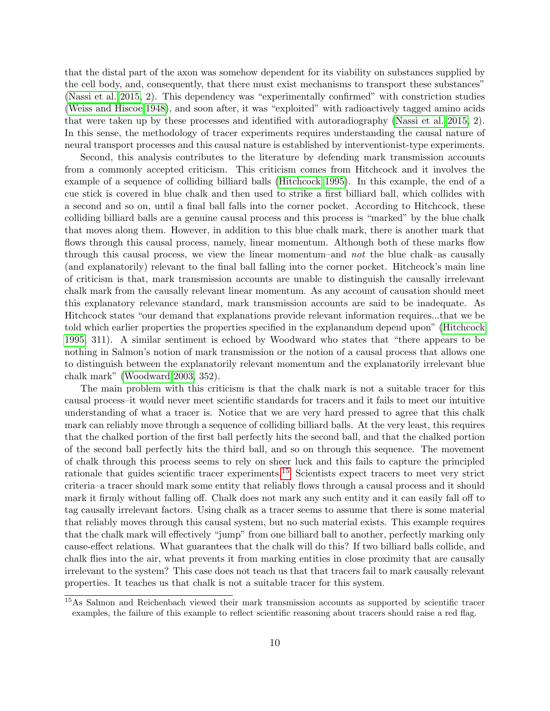that the distal part of the axon was somehow dependent for its viability on substances supplied by the cell body, and, consequently, that there must exist mechanisms to transport these substances" [\(Nassi et al. 2015,](#page-16-9) 2). This dependency was "experimentally confirmed" with constriction studies [\(Weiss and Hiscoe 1948\)](#page-17-5), and soon after, it was "exploited" with radioactively tagged amino acids that were taken up by these processes and identified with autoradiography [\(Nassi et al. 2015,](#page-16-9) 2). In this sense, the methodology of tracer experiments requires understanding the causal nature of neural transport processes and this causal nature is established by interventionist-type experiments.

Second, this analysis contributes to the literature by defending mark transmission accounts from a commonly accepted criticism. This criticism comes from Hitchcock and it involves the example of a sequence of colliding billiard balls [\(Hitchcock 1995\)](#page-15-8). In this example, the end of a cue stick is covered in blue chalk and then used to strike a first billiard ball, which collides with a second and so on, until a final ball falls into the corner pocket. According to Hitchcock, these colliding billiard balls are a genuine causal process and this process is "marked" by the blue chalk that moves along them. However, in addition to this blue chalk mark, there is another mark that flows through this causal process, namely, linear momentum. Although both of these marks flow through this causal process, we view the linear momentum–and not the blue chalk–as causally (and explanatorily) relevant to the final ball falling into the corner pocket. Hitchcock's main line of criticism is that, mark transmission accounts are unable to distinguish the causally irrelevant chalk mark from the causally relevant linear momentum. As any account of causation should meet this explanatory relevance standard, mark transmission accounts are said to be inadequate. As Hitchcock states "our demand that explanations provide relevant information requires...that we be told which earlier properties the properties specified in the explanandum depend upon" [\(Hitchcock](#page-15-8) [1995,](#page-15-8) 311). A similar sentiment is echoed by Woodward who states that "there appears to be nothing in Salmon's notion of mark transmission or the notion of a causal process that allows one to distinguish between the explanatorily relevant momentum and the explanatorily irrelevant blue chalk mark" [\(Woodward 2003,](#page-17-4) 352).

The main problem with this criticism is that the chalk mark is not a suitable tracer for this causal process–it would never meet scientific standards for tracers and it fails to meet our intuitive understanding of what a tracer is. Notice that we are very hard pressed to agree that this chalk mark can reliably move through a sequence of colliding billiard balls. At the very least, this requires that the chalked portion of the first ball perfectly hits the second ball, and that the chalked portion of the second ball perfectly hits the third ball, and so on through this sequence. The movement of chalk through this process seems to rely on sheer luck and this fails to capture the principled rationale that guides scientific tracer experiments.[15](#page-0-0) Scientists expect tracers to meet very strict criteria–a tracer should mark some entity that reliably flows through a causal process and it should mark it firmly without falling off. Chalk does not mark any such entity and it can easily fall off to tag causally irrelevant factors. Using chalk as a tracer seems to assume that there is some material that reliably moves through this causal system, but no such material exists. This example requires that the chalk mark will effectively "jump" from one billiard ball to another, perfectly marking only cause-effect relations. What guarantees that the chalk will do this? If two billiard balls collide, and chalk flies into the air, what prevents it from marking entities in close proximity that are causally irrelevant to the system? This case does not teach us that that tracers fail to mark causally relevant properties. It teaches us that chalk is not a suitable tracer for this system.

<sup>15</sup>As Salmon and Reichenbach viewed their mark transmission accounts as supported by scientific tracer examples, the failure of this example to reflect scientific reasoning about tracers should raise a red flag.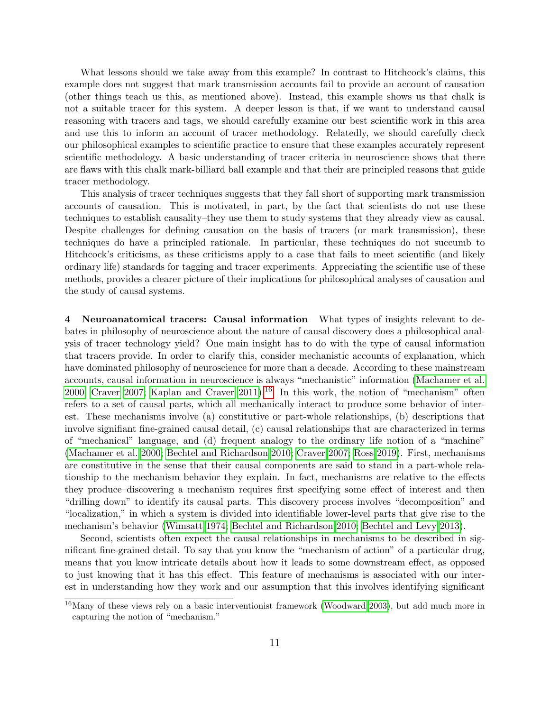What lessons should we take away from this example? In contrast to Hitchcock's claims, this example does not suggest that mark transmission accounts fail to provide an account of causation (other things teach us this, as mentioned above). Instead, this example shows us that chalk is not a suitable tracer for this system. A deeper lesson is that, if we want to understand causal reasoning with tracers and tags, we should carefully examine our best scientific work in this area and use this to inform an account of tracer methodology. Relatedly, we should carefully check our philosophical examples to scientific practice to ensure that these examples accurately represent scientific methodology. A basic understanding of tracer criteria in neuroscience shows that there are flaws with this chalk mark-billiard ball example and that their are principled reasons that guide tracer methodology.

This analysis of tracer techniques suggests that they fall short of supporting mark transmission accounts of causation. This is motivated, in part, by the fact that scientists do not use these techniques to establish causality–they use them to study systems that they already view as causal. Despite challenges for defining causation on the basis of tracers (or mark transmission), these techniques do have a principled rationale. In particular, these techniques do not succumb to Hitchcock's criticisms, as these criticisms apply to a case that fails to meet scientific (and likely ordinary life) standards for tagging and tracer experiments. Appreciating the scientific use of these methods, provides a clearer picture of their implications for philosophical analyses of causation and the study of causal systems.

4 Neuroanatomical tracers: Causal information What types of insights relevant to debates in philosophy of neuroscience about the nature of causal discovery does a philosophical analysis of tracer technology yield? One main insight has to do with the type of causal information that tracers provide. In order to clarify this, consider mechanistic accounts of explanation, which have dominated philosophy of neuroscience for more than a decade. According to these mainstream accounts, causal information in neuroscience is always "mechanistic" information [\(Machamer et al.](#page-16-11) [2000;](#page-16-11) [Craver 2007;](#page-15-9) [Kaplan and Craver 2011\)](#page-16-12).<sup>[16](#page-0-0)</sup> In this work, the notion of "mechanism" often refers to a set of causal parts, which all mechanically interact to produce some behavior of interest. These mechanisms involve (a) constitutive or part-whole relationships, (b) descriptions that involve signifiant fine-grained causal detail, (c) causal relationships that are characterized in terms of "mechanical" language, and (d) frequent analogy to the ordinary life notion of a "machine" [\(Machamer et al. 2000;](#page-16-11) [Bechtel and Richardson 2010;](#page-15-10) [Craver 2007;](#page-15-9) [Ross 2019\)](#page-17-7). First, mechanisms are constitutive in the sense that their causal components are said to stand in a part-whole relationship to the mechanism behavior they explain. In fact, mechanisms are relative to the effects they produce–discovering a mechanism requires first specifying some effect of interest and then "drilling down" to identify its causal parts. This discovery process involves "decomposition" and "localization," in which a system is divided into identifiable lower-level parts that give rise to the mechanism's behavior [\(Wimsatt 1974;](#page-17-17) [Bechtel and Richardson 2010;](#page-15-10) [Bechtel and Levy 2013\)](#page-15-11).

Second, scientists often expect the causal relationships in mechanisms to be described in significant fine-grained detail. To say that you know the "mechanism of action" of a particular drug, means that you know intricate details about how it leads to some downstream effect, as opposed to just knowing that it has this effect. This feature of mechanisms is associated with our interest in understanding how they work and our assumption that this involves identifying significant

<sup>&</sup>lt;sup>16</sup>Many of these views rely on a basic interventionist framework [\(Woodward 2003\)](#page-17-4), but add much more in capturing the notion of "mechanism."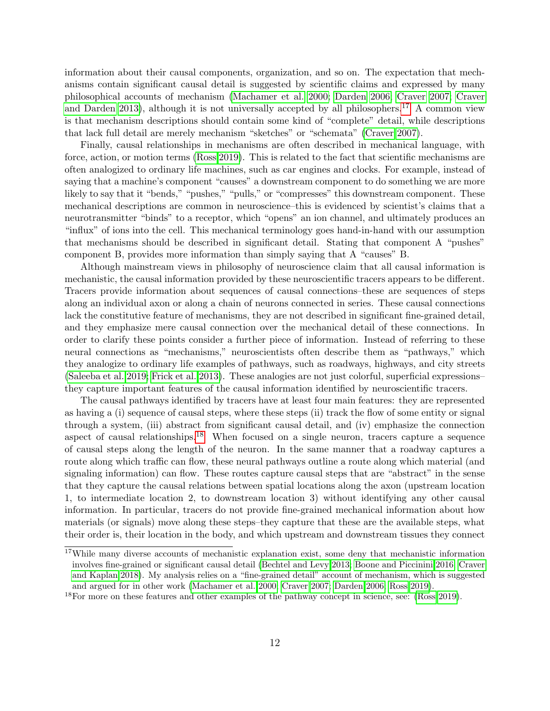information about their causal components, organization, and so on. The expectation that mechanisms contain significant causal detail is suggested by scientific claims and expressed by many philosophical accounts of mechanism [\(Machamer et al. 2000;](#page-16-11) [Darden 2006;](#page-15-12) [Craver 2007;](#page-15-9) [Craver](#page-15-13) [and Darden 2013\)](#page-15-13), although it is not universally accepted by all philosophers.<sup>[17](#page-0-0)</sup> A common view is that mechanism descriptions should contain some kind of "complete" detail, while descriptions that lack full detail are merely mechanism "sketches" or "schemata" [\(Craver 2007\)](#page-15-9).

Finally, causal relationships in mechanisms are often described in mechanical language, with force, action, or motion terms [\(Ross 2019\)](#page-17-7). This is related to the fact that scientific mechanisms are often analogized to ordinary life machines, such as car engines and clocks. For example, instead of saying that a machine's component "causes" a downstream component to do something we are more likely to say that it "bends," "pushes," "pulls," or "compresses" this downstream component. These mechanical descriptions are common in neuroscience–this is evidenced by scientist's claims that a neurotransmitter "binds" to a receptor, which "opens" an ion channel, and ultimately produces an "influx" of ions into the cell. This mechanical terminology goes hand-in-hand with our assumption that mechanisms should be described in significant detail. Stating that component A "pushes" component B, provides more information than simply saying that A "causes" B.

Although mainstream views in philosophy of neuroscience claim that all causal information is mechanistic, the causal information provided by these neuroscientific tracers appears to be different. Tracers provide information about sequences of causal connections–these are sequences of steps along an individual axon or along a chain of neurons connected in series. These causal connections lack the constitutive feature of mechanisms, they are not described in significant fine-grained detail, and they emphasize mere causal connection over the mechanical detail of these connections. In order to clarify these points consider a further piece of information. Instead of referring to these neural connections as "mechanisms," neuroscientists often describe them as "pathways," which they analogize to ordinary life examples of pathways, such as roadways, highways, and city streets [\(Saleeba et al. 2019;](#page-17-2) [Frick et al. 2013\)](#page-15-0). These analogies are not just colorful, superficial expressions– they capture important features of the causal information identified by neuroscientific tracers.

The causal pathways identified by tracers have at least four main features: they are represented as having a (i) sequence of causal steps, where these steps (ii) track the flow of some entity or signal through a system, (iii) abstract from significant causal detail, and (iv) emphasize the connection aspect of causal relationships.<sup>[18](#page-0-0)</sup> When focused on a single neuron, tracers capture a sequence of causal steps along the length of the neuron. In the same manner that a roadway captures a route along which traffic can flow, these neural pathways outline a route along which material (and signaling information) can flow. These routes capture causal steps that are "abstract" in the sense that they capture the causal relations between spatial locations along the axon (upstream location 1, to intermediate location 2, to downstream location 3) without identifying any other causal information. In particular, tracers do not provide fine-grained mechanical information about how materials (or signals) move along these steps–they capture that these are the available steps, what their order is, their location in the body, and which upstream and downstream tissues they connect

<sup>&</sup>lt;sup>17</sup>While many diverse accounts of mechanistic explanation exist, some deny that mechanistic information involves fine-grained or significant causal detail [\(Bechtel and Levy 2013;](#page-15-11) [Boone and Piccinini 2016;](#page-15-14) [Craver](#page-15-15) [and Kaplan 2018\)](#page-15-15). My analysis relies on a "fine-grained detail" account of mechanism, which is suggested and argued for in other work [\(Machamer et al. 2000;](#page-16-11) [Craver 2007;](#page-15-9) [Darden 2006;](#page-15-12) [Ross 2019\)](#page-17-7).

 $^{18}$ For more on these features and other examples of the pathway concept in science, see: [\(Ross 2019\)](#page-17-7).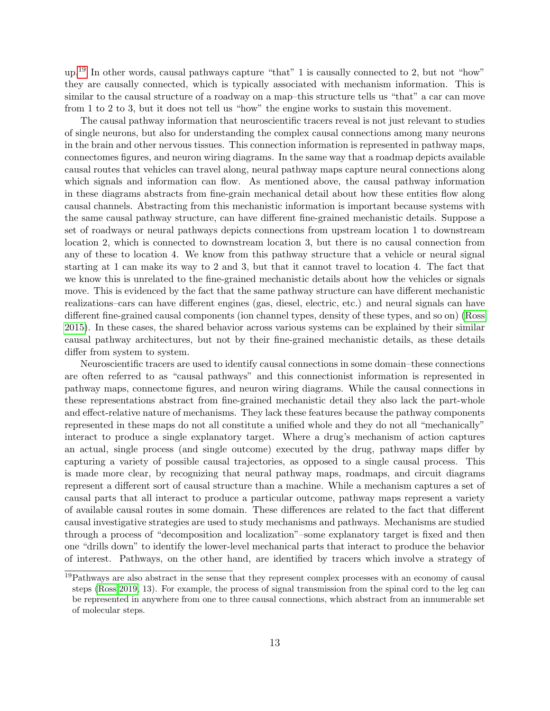up.[19](#page-0-0) In other words, causal pathways capture "that" 1 is causally connected to 2, but not "how" they are causally connected, which is typically associated with mechanism information. This is similar to the causal structure of a roadway on a map–this structure tells us "that" a car can move from 1 to 2 to 3, but it does not tell us "how" the engine works to sustain this movement.

The causal pathway information that neuroscientific tracers reveal is not just relevant to studies of single neurons, but also for understanding the complex causal connections among many neurons in the brain and other nervous tissues. This connection information is represented in pathway maps, connectomes figures, and neuron wiring diagrams. In the same way that a roadmap depicts available causal routes that vehicles can travel along, neural pathway maps capture neural connections along which signals and information can flow. As mentioned above, the causal pathway information in these diagrams abstracts from fine-grain mechanical detail about how these entities flow along causal channels. Abstracting from this mechanistic information is important because systems with the same causal pathway structure, can have different fine-grained mechanistic details. Suppose a set of roadways or neural pathways depicts connections from upstream location 1 to downstream location 2, which is connected to downstream location 3, but there is no causal connection from any of these to location 4. We know from this pathway structure that a vehicle or neural signal starting at 1 can make its way to 2 and 3, but that it cannot travel to location 4. The fact that we know this is unrelated to the fine-grained mechanistic details about how the vehicles or signals move. This is evidenced by the fact that the same pathway structure can have different mechanistic realizations–cars can have different engines (gas, diesel, electric, etc.) and neural signals can have different fine-grained causal components (ion channel types, density of these types, and so on) [\(Ross](#page-17-18) [2015\)](#page-17-18). In these cases, the shared behavior across various systems can be explained by their similar causal pathway architectures, but not by their fine-grained mechanistic details, as these details differ from system to system.

Neuroscientific tracers are used to identify causal connections in some domain–these connections are often referred to as "causal pathways" and this connectionist information is represented in pathway maps, connectome figures, and neuron wiring diagrams. While the causal connections in these representations abstract from fine-grained mechanistic detail they also lack the part-whole and effect-relative nature of mechanisms. They lack these features because the pathway components represented in these maps do not all constitute a unified whole and they do not all "mechanically" interact to produce a single explanatory target. Where a drug's mechanism of action captures an actual, single process (and single outcome) executed by the drug, pathway maps differ by capturing a variety of possible causal trajectories, as opposed to a single causal process. This is made more clear, by recognizing that neural pathway maps, roadmaps, and circuit diagrams represent a different sort of causal structure than a machine. While a mechanism captures a set of causal parts that all interact to produce a particular outcome, pathway maps represent a variety of available causal routes in some domain. These differences are related to the fact that different causal investigative strategies are used to study mechanisms and pathways. Mechanisms are studied through a process of "decomposition and localization"–some explanatory target is fixed and then one "drills down" to identify the lower-level mechanical parts that interact to produce the behavior of interest. Pathways, on the other hand, are identified by tracers which involve a strategy of

<sup>&</sup>lt;sup>19</sup>Pathways are also abstract in the sense that they represent complex processes with an economy of causal steps [\(Ross 2019,](#page-17-7) 13). For example, the process of signal transmission from the spinal cord to the leg can be represented in anywhere from one to three causal connections, which abstract from an innumerable set of molecular steps.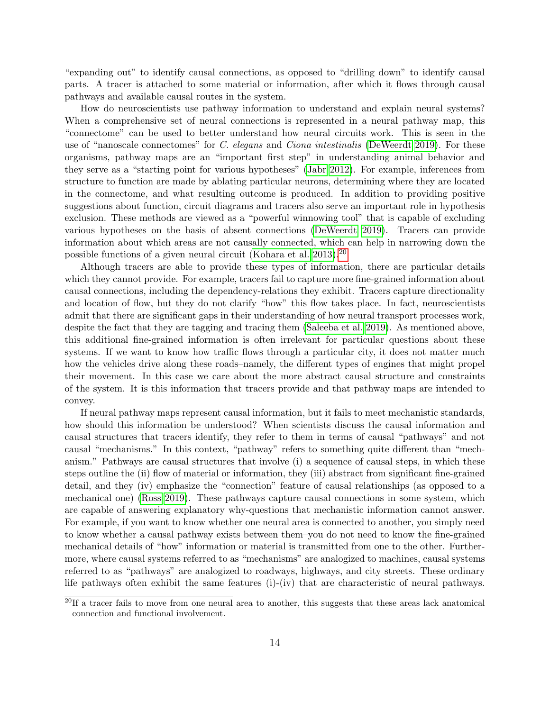"expanding out" to identify causal connections, as opposed to "drilling down" to identify causal parts. A tracer is attached to some material or information, after which it flows through causal pathways and available causal routes in the system.

How do neuroscientists use pathway information to understand and explain neural systems? When a comprehensive set of neural connections is represented in a neural pathway map, this "connectome" can be used to better understand how neural circuits work. This is seen in the use of "nanoscale connectomes" for C. elegans and Ciona intestinalis [\(DeWeerdt 2019\)](#page-15-16). For these organisms, pathway maps are an "important first step" in understanding animal behavior and they serve as a "starting point for various hypotheses" [\(Jabr 2012\)](#page-16-13). For example, inferences from structure to function are made by ablating particular neurons, determining where they are located in the connectome, and what resulting outcome is produced. In addition to providing positive suggestions about function, circuit diagrams and tracers also serve an important role in hypothesis exclusion. These methods are viewed as a "powerful winnowing tool" that is capable of excluding various hypotheses on the basis of absent connections [\(DeWeerdt 2019\)](#page-15-16). Tracers can provide information about which areas are not causally connected, which can help in narrowing down the possible functions of a given neural circuit [\(Kohara et al. 2013\)](#page-16-14).[20](#page-0-0)

Although tracers are able to provide these types of information, there are particular details which they cannot provide. For example, tracers fail to capture more fine-grained information about causal connections, including the dependency-relations they exhibit. Tracers capture directionality and location of flow, but they do not clarify "how" this flow takes place. In fact, neuroscientists admit that there are significant gaps in their understanding of how neural transport processes work, despite the fact that they are tagging and tracing them [\(Saleeba et al. 2019\)](#page-17-2). As mentioned above, this additional fine-grained information is often irrelevant for particular questions about these systems. If we want to know how traffic flows through a particular city, it does not matter much how the vehicles drive along these roads–namely, the different types of engines that might propel their movement. In this case we care about the more abstract causal structure and constraints of the system. It is this information that tracers provide and that pathway maps are intended to convey.

If neural pathway maps represent causal information, but it fails to meet mechanistic standards, how should this information be understood? When scientists discuss the causal information and causal structures that tracers identify, they refer to them in terms of causal "pathways" and not causal "mechanisms." In this context, "pathway" refers to something quite different than "mechanism." Pathways are causal structures that involve (i) a sequence of causal steps, in which these steps outline the (ii) flow of material or information, they (iii) abstract from significant fine-grained detail, and they (iv) emphasize the "connection" feature of causal relationships (as opposed to a mechanical one) [\(Ross 2019\)](#page-17-7). These pathways capture causal connections in some system, which are capable of answering explanatory why-questions that mechanistic information cannot answer. For example, if you want to know whether one neural area is connected to another, you simply need to know whether a causal pathway exists between them–you do not need to know the fine-grained mechanical details of "how" information or material is transmitted from one to the other. Furthermore, where causal systems referred to as "mechanisms" are analogized to machines, causal systems referred to as "pathways" are analogized to roadways, highways, and city streets. These ordinary life pathways often exhibit the same features (i)-(iv) that are characteristic of neural pathways.

 $20$ If a tracer fails to move from one neural area to another, this suggests that these areas lack anatomical connection and functional involvement.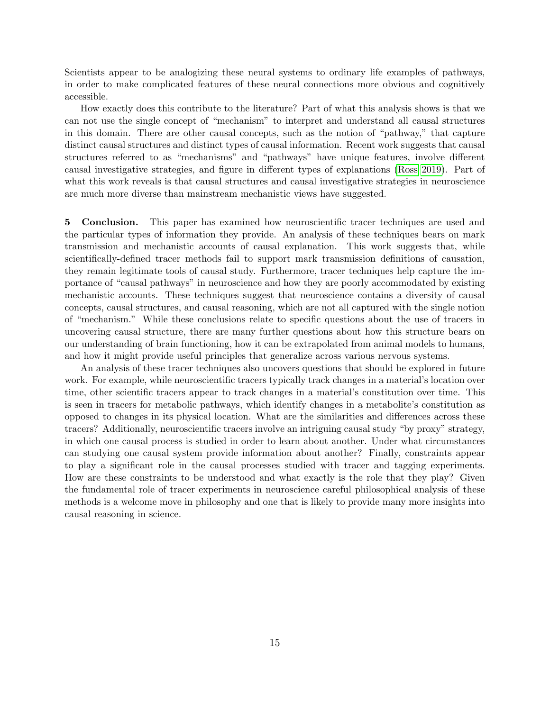Scientists appear to be analogizing these neural systems to ordinary life examples of pathways, in order to make complicated features of these neural connections more obvious and cognitively accessible.

How exactly does this contribute to the literature? Part of what this analysis shows is that we can not use the single concept of "mechanism" to interpret and understand all causal structures in this domain. There are other causal concepts, such as the notion of "pathway," that capture distinct causal structures and distinct types of causal information. Recent work suggests that causal structures referred to as "mechanisms" and "pathways" have unique features, involve different causal investigative strategies, and figure in different types of explanations [\(Ross 2019\)](#page-17-7). Part of what this work reveals is that causal structures and causal investigative strategies in neuroscience are much more diverse than mainstream mechanistic views have suggested.

5 Conclusion. This paper has examined how neuroscientific tracer techniques are used and the particular types of information they provide. An analysis of these techniques bears on mark transmission and mechanistic accounts of causal explanation. This work suggests that, while scientifically-defined tracer methods fail to support mark transmission definitions of causation, they remain legitimate tools of causal study. Furthermore, tracer techniques help capture the importance of "causal pathways" in neuroscience and how they are poorly accommodated by existing mechanistic accounts. These techniques suggest that neuroscience contains a diversity of causal concepts, causal structures, and causal reasoning, which are not all captured with the single notion of "mechanism." While these conclusions relate to specific questions about the use of tracers in uncovering causal structure, there are many further questions about how this structure bears on our understanding of brain functioning, how it can be extrapolated from animal models to humans, and how it might provide useful principles that generalize across various nervous systems.

An analysis of these tracer techniques also uncovers questions that should be explored in future work. For example, while neuroscientific tracers typically track changes in a material's location over time, other scientific tracers appear to track changes in a material's constitution over time. This is seen in tracers for metabolic pathways, which identify changes in a metabolite's constitution as opposed to changes in its physical location. What are the similarities and differences across these tracers? Additionally, neuroscientific tracers involve an intriguing causal study "by proxy" strategy, in which one causal process is studied in order to learn about another. Under what circumstances can studying one causal system provide information about another? Finally, constraints appear to play a significant role in the causal processes studied with tracer and tagging experiments. How are these constraints to be understood and what exactly is the role that they play? Given the fundamental role of tracer experiments in neuroscience careful philosophical analysis of these methods is a welcome move in philosophy and one that is likely to provide many more insights into causal reasoning in science.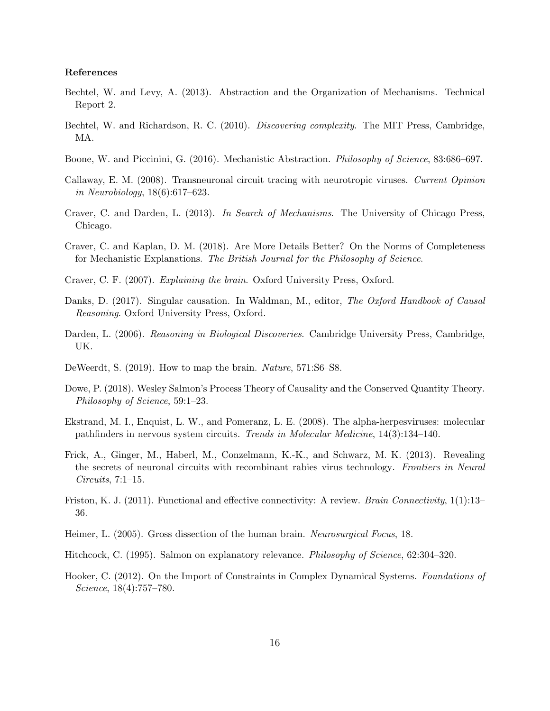## References

- <span id="page-15-11"></span>Bechtel, W. and Levy, A. (2013). Abstraction and the Organization of Mechanisms. Technical Report 2.
- <span id="page-15-10"></span>Bechtel, W. and Richardson, R. C. (2010). Discovering complexity. The MIT Press, Cambridge, MA.
- <span id="page-15-14"></span>Boone, W. and Piccinini, G. (2016). Mechanistic Abstraction. Philosophy of Science, 83:686–697.
- <span id="page-15-4"></span>Callaway, E. M. (2008). Transneuronal circuit tracing with neurotropic viruses. Current Opinion in Neurobiology, 18(6):617–623.
- <span id="page-15-13"></span>Craver, C. and Darden, L. (2013). In Search of Mechanisms. The University of Chicago Press, Chicago.
- <span id="page-15-15"></span>Craver, C. and Kaplan, D. M. (2018). Are More Details Better? On the Norms of Completeness for Mechanistic Explanations. The British Journal for the Philosophy of Science.
- <span id="page-15-9"></span>Craver, C. F. (2007). Explaining the brain. Oxford University Press, Oxford.
- <span id="page-15-7"></span>Danks, D. (2017). Singular causation. In Waldman, M., editor, The Oxford Handbook of Causal Reasoning. Oxford University Press, Oxford.
- <span id="page-15-12"></span>Darden, L. (2006). Reasoning in Biological Discoveries. Cambridge University Press, Cambridge, UK.
- <span id="page-15-16"></span>DeWeerdt, S. (2019). How to map the brain. Nature, 571:S6–S8.
- <span id="page-15-6"></span>Dowe, P. (2018). Wesley Salmon's Process Theory of Causality and the Conserved Quantity Theory. Philosophy of Science, 59:1–23.
- <span id="page-15-3"></span>Ekstrand, M. I., Enquist, L. W., and Pomeranz, L. E. (2008). The alpha-herpesviruses: molecular pathfinders in nervous system circuits. Trends in Molecular Medicine, 14(3):134–140.
- <span id="page-15-0"></span>Frick, A., Ginger, M., Haberl, M., Conzelmann, K.-K., and Schwarz, M. K. (2013). Revealing the secrets of neuronal circuits with recombinant rabies virus technology. Frontiers in Neural Circuits, 7:1–15.
- <span id="page-15-1"></span>Friston, K. J. (2011). Functional and effective connectivity: A review. *Brain Connectivity*, 1(1):13– 36.
- <span id="page-15-2"></span>Heimer, L. (2005). Gross dissection of the human brain. Neurosurgical Focus, 18.
- <span id="page-15-8"></span>Hitchcock, C. (1995). Salmon on explanatory relevance. Philosophy of Science, 62:304–320.
- <span id="page-15-5"></span>Hooker, C. (2012). On the Import of Constraints in Complex Dynamical Systems. Foundations of Science, 18(4):757–780.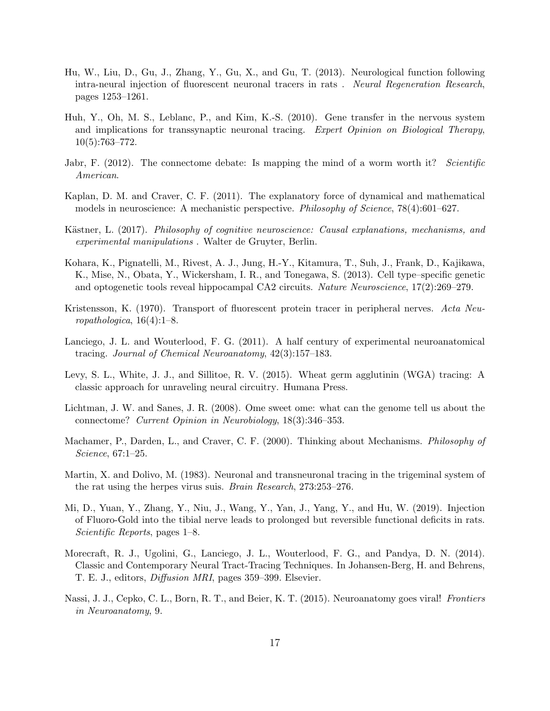- <span id="page-16-6"></span>Hu, W., Liu, D., Gu, J., Zhang, Y., Gu, X., and Gu, T. (2013). Neurological function following intra-neural injection of fluorescent neuronal tracers in rats . Neural Regeneration Research, pages 1253–1261.
- <span id="page-16-7"></span>Huh, Y., Oh, M. S., Leblanc, P., and Kim, K.-S. (2010). Gene transfer in the nervous system and implications for transsynaptic neuronal tracing. Expert Opinion on Biological Therapy, 10(5):763–772.
- <span id="page-16-13"></span>Jabr, F. (2012). The connectome debate: Is mapping the mind of a worm worth it? Scientific American.
- <span id="page-16-12"></span>Kaplan, D. M. and Craver, C. F. (2011). The explanatory force of dynamical and mathematical models in neuroscience: A mechanistic perspective. *Philosophy of Science*, 78(4):601–627.
- <span id="page-16-10"></span>Kästner, L. (2017). Philosophy of cognitive neuroscience: Causal explanations, mechanisms, and experimental manipulations . Walter de Gruyter, Berlin.
- <span id="page-16-14"></span>Kohara, K., Pignatelli, M., Rivest, A. J., Jung, H.-Y., Kitamura, T., Suh, J., Frank, D., Kajikawa, K., Mise, N., Obata, Y., Wickersham, I. R., and Tonegawa, S. (2013). Cell type–specific genetic and optogenetic tools reveal hippocampal CA2 circuits. Nature Neuroscience, 17(2):269–279.
- <span id="page-16-2"></span>Kristensson, K. (1970). Transport of fluorescent protein tracer in peripheral nerves. Acta Neuropathologica,  $16(4):1-8$ .
- <span id="page-16-4"></span>Lanciego, J. L. and Wouterlood, F. G. (2011). A half century of experimental neuroanatomical tracing. Journal of Chemical Neuroanatomy, 42(3):157–183.
- <span id="page-16-1"></span>Levy, S. L., White, J. J., and Sillitoe, R. V. (2015). Wheat germ agglutinin (WGA) tracing: A classic approach for unraveling neural circuitry. Humana Press.
- <span id="page-16-0"></span>Lichtman, J. W. and Sanes, J. R. (2008). Ome sweet ome: what can the genome tell us about the connectome? Current Opinion in Neurobiology, 18(3):346–353.
- <span id="page-16-11"></span>Machamer, P., Darden, L., and Craver, C. F. (2000). Thinking about Mechanisms. *Philosophy of* Science, 67:1–25.
- <span id="page-16-3"></span>Martin, X. and Dolivo, M. (1983). Neuronal and transneuronal tracing in the trigeminal system of the rat using the herpes virus suis. Brain Research, 273:253–276.
- <span id="page-16-8"></span>Mi, D., Yuan, Y., Zhang, Y., Niu, J., Wang, Y., Yan, J., Yang, Y., and Hu, W. (2019). Injection of Fluoro-Gold into the tibial nerve leads to prolonged but reversible functional deficits in rats. Scientific Reports, pages 1–8.
- <span id="page-16-5"></span>Morecraft, R. J., Ugolini, G., Lanciego, J. L., Wouterlood, F. G., and Pandya, D. N. (2014). Classic and Contemporary Neural Tract-Tracing Techniques. In Johansen-Berg, H. and Behrens, T. E. J., editors, Diffusion MRI, pages 359–399. Elsevier.
- <span id="page-16-9"></span>Nassi, J. J., Cepko, C. L., Born, R. T., and Beier, K. T. (2015). Neuroanatomy goes viral! Frontiers in Neuroanatomy, 9.